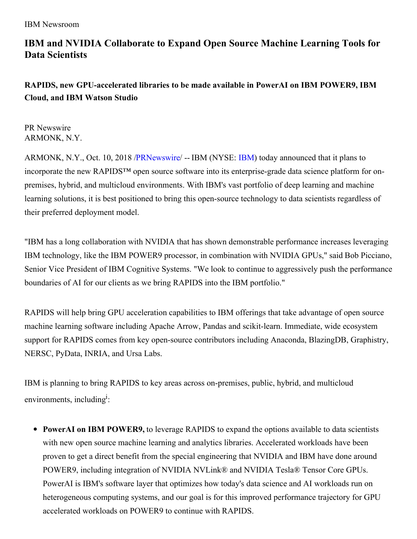# **IBM and NVIDIA Collaborate to Expand Open Source Machine Learning Tools for Data Scientists**

## **RAPIDS, new GPU-accelerated libraries to be made available in PowerAI on IBM POWER9, IBM Cloud, and IBM Watson Studio**

PR Newswire ARMONK, N.Y.

ARMONK, N.Y., Oct. 10, 2018 [/PRNewswire](http://www.prnewswire.com/)/ -- [IBM](http://www.ibm.com/investor) (NYSE: IBM) today announced that it plans to incorporate the new RAPIDS™ open source software into its enterprise-grade data science platform for onpremises, hybrid, and multicloud environments. With IBM's vast portfolio of deep learning and machine learning solutions, it is best positioned to bring this open-source technology to data scientists regardless of their preferred deployment model.

"IBM has a long collaboration with NVIDIA that has shown demonstrable performance increases leveraging IBM technology, like the IBM POWER9 processor, in combination with NVIDIA GPUs," said Bob Picciano, Senior Vice President of IBM Cognitive Systems. "We look to continue to aggressively push the performance boundaries of AI for our clients as we bring RAPIDS into the IBM portfolio."

RAPIDS will help bring GPU acceleration capabilities to IBM offerings that take advantage of open source machine learning software including Apache Arrow, Pandas and scikit-learn. Immediate, wide ecosystem support for RAPIDS comes from key open-source contributors including Anaconda, BlazingDB, Graphistry, NERSC, PyData, INRIA, and Ursa Labs.

IBM is planning to bring RAPIDS to key areas across on-premises, public, hybrid, and multicloud environments, including<sup>i</sup>:

**PowerAI on IBM POWER9,** to leverage RAPIDS to expand the options available to data scientists with new open source machine learning and analytics libraries. Accelerated workloads have been proven to get a direct benefit from the special engineering that NVIDIA and IBM have done around POWER9, including integration of NVIDIA NVLink® and NVIDIA Tesla® Tensor Core GPUs. PowerAI is IBM's software layer that optimizes how today's data science and AI workloads run on heterogeneous computing systems, and our goal is for this improved performance trajectory for GPU accelerated workloads on POWER9 to continue with RAPIDS.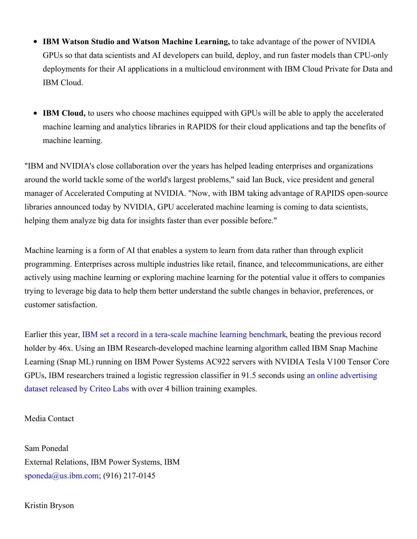- **IBM Watson Studio and Watson Machine Learning,** to take advantage of the power of NVIDIA  $\bullet$ GPUs so that data scientists and AI developers can build, deploy, and run faster models than CPU-only deployments for their AI applications in a multicloud environment with IBM Cloud Private for Data and IBM Cloud.
- **IBM Cloud,** to users who choose machines equipped with GPUs will be able to apply the accelerated machine learning and analytics libraries in RAPIDS for their cloud applications and tap the benefits of machine learning.

"IBM and NVIDIA's close collaboration over the years has helped leading enterprises and organizations around the world tackle some of the world's largest problems," said Ian Buck, vice president and general manager of Accelerated Computing at NVIDIA. "Now, with IBM taking advantage of RAPIDS open-source libraries announced today by NVIDIA, GPU accelerated machine learning is coming to data scientists, helping them analyze big data for insights faster than ever possible before."

Machine learning is a form of AI that enables a system to learn from data rather than through explicit programming. Enterprises across multiple industries like retail, finance, and telecommunications, are either actively using machine learning or exploring machine learning for the potential value it offers to companies trying to leverage big data to help them better understand the subtle changes in behavior, preferences, or customer satisfaction.

Earlier this year, IBM set a record in a tera-scale machine learning [benchmark](https://www.ibm.com/blogs/research/2018/03/machine-learning-benchmark/), beating the previous record holder by 46x. Using an IBM Research-developed machine learning algorithm called IBM Snap Machine Learning (Snap ML) running on IBM Power Systems AC922 servers with NVIDIA Tesla V100 Tensor Core GPUs, IBM [researchers](http://labs.criteo.com/2013/12/download-terabyte-click-logs/) trained a logistic regression classifier in 91.5 seconds using an online advertising dataset released by Criteo Labs with over 4 billion training examples.

### Media Contact

Sam Ponedal External Relations, IBM Power Systems, IBM [sponeda@us.ibm.com](mailto:sponeda@us.ibm.com); (916) 217-0145

### Kristin Bryson